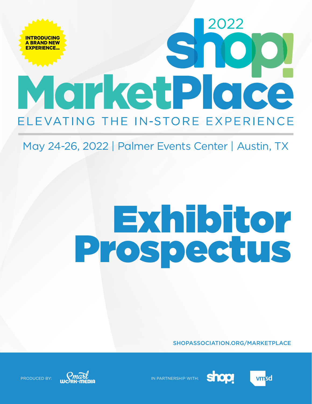## **INTRODUCING A BRAND NEW EXPERIENCE...**MorketPlace ELEVATING THE IN-STORE EXPERIENCE

### May 24-26, 2022 | Palmer Events Center | Austin, TX

# Exhibitor Prospectus

SHOPASSOCIATION.ORG/MARKETPLACE



**shop** 



PRODUCED BY:  $\frac{M\alpha\pi}{M}$ 



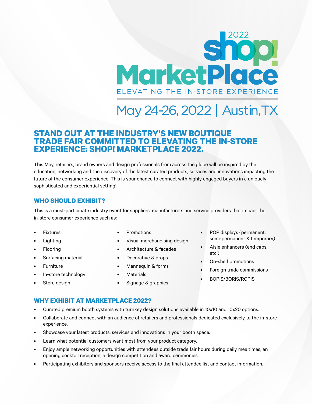## Sn MarketPlace ELEVATING THE IN-STORE EXPERIENCE

### May 24-26, 2022 | Austin, TX

### **STAND OUT AT THE INDUSTRY'S NEW BOUTIQUE TRADE FAIR COMMITTED TO ELEVATING THE IN-STORE EXPERIENCE: SHOP! MARKETPLACE 2022.**

This May, retailers, brand owners and design professionals from across the globe will be inspired by the education, networking and the discovery of the latest curated products, services and innovations impacting the future of the consumer experience. This is your chance to connect with highly engaged buyers in a uniquely sophisticated and experiential setting!

### **WHO SHOULD EXHIBIT?**

This is a must-participate industry event for suppliers, manufacturers and service providers that impact the in-store consumer experience such as:

- **Fixtures**
- **Lighting**
- **Flooring**
- Surfacing material
- **Furniture**
- In-store technology
- Store design
- **Promotions**
- Visual merchandising design
- Architecture & facades
- Decorative & props
- Mannequin & forms
- **Materials**
- Signage & graphics
- POP displays (permanent, semi-permanent & temporary)
- Aisle enhancers (end caps, etc.)
- On-shelf promotions
- Foreign trade commissions
- BOPIS/BORIS/ROPIS

### **WHY EXHIBIT AT MARKETPLACE 2022?**

- Curated premium booth systems with turnkey design solutions available in 10x10 and 10x20 options.
- Collaborate and connect with an audience of retailers and professionals dedicated exclusively to the in-store experience.
- Showcase your latest products, services and innovations in your booth space.
- Learn what potential customers want most from your product category.
- Enjoy ample networking opportunities with attendees outside trade fair hours during daily mealtimes, an opening cocktail reception, a design competition and award ceremonies.
- Participating exhibitors and sponsors receive access to the final attendee list and contact information.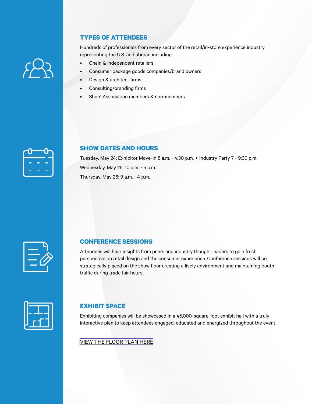### **TYPES OF ATTENDEES**

Hundreds of professionals from every sector of the retail/in-store experience industry representing the U.S. and abroad including:

- Chain & independent retailers
- Consumer package goods companies/brand owners
- Design & architect firms
- Consulting/branding firms
- Shop! Association members & non-members

|     | $\overline{\phantom{a}}$ |
|-----|--------------------------|
|     |                          |
| . . |                          |

#### **SHOW DATES AND HOURS**

Tuesday, May 24: Exhibitor Move-in 8 a.m. - 4:30 p.m. + Industry Party 7 - 9:30 p.m. Wednesday, May 25: 10 a.m. - 5 p.m. Thursday, May 26: 9 a.m. - 4 p.m.



#### **CONFERENCE SESSIONS**

Attendees will hear insights from peers and industry thought leaders to gain fresh perspective on retail design and the consumer experience. Conference sessions will be strategically placed on the show floor creating a lively environment and maintaining booth traffic during trade fair hours.

| $\sim$ |
|--------|
|        |
|        |

### **EXHIBIT SPACE**

Exhibiting companies will be showcased in a 45,000-square-foot exhibit hall with a truly interactive plan to keep attendees engaged, educated and energized throughout the event.

[VIEW THE FLOOR PLAN HERE](https://s36.a2zinc.net/clients/swm/marketplace2022/public/eventmap.aspx?shMode=E )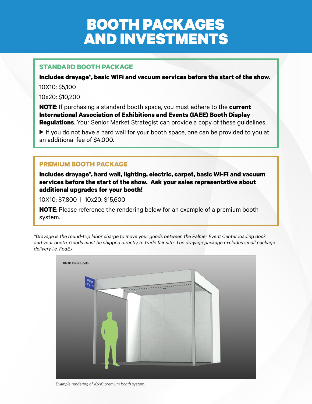### BOOTH PACKAGES AND INVESTMENTS

### **STANDARD BOOTH PACKAGE**

**Includes drayage\*, basic WiFi and vacuum services before the start of the show.**  10X10: \$5,100

10x20: \$10,200

**NOTE**: If purchasing a standard booth space, you must adhere to the **current International Association of Exhibitions and Events (IAEE) Booth Display Regulations**. Your Senior Market Strategist can provide a copy of these guidelines.

If you do not have a hard wall for your booth space, one can be provided to you at an additional fee of \$4,000.

### **PREMIUM BOOTH PACKAGE**

**Includes drayage\*, hard wall, lighting, electric, carpet, basic Wi-Fi and vacuum services before the start of the show. Ask your sales representative about additional upgrades for your booth!**

10X10: \$7,800 | 10x20: \$15,600

**NOTE**: Please reference the rendering below for an example of a premium booth system.

*\*Drayage is the round-trip labor charge to move your goods between the Palmer Event Center loading dock and your booth. Goods must be shipped directly to trade fair site. The drayage package excludes small package delivery i.e. FedEx.*

| 10x10 Inline Booth<br>$\frac{10 \text{ Sign}}{(18^\circ \text{x } 12^\circ)}$ |                                            |  |
|-------------------------------------------------------------------------------|--------------------------------------------|--|
|                                                                               | 0 <sup>o</sup><br>$\overline{\phantom{0}}$ |  |
|                                                                               |                                            |  |
|                                                                               |                                            |  |
|                                                                               |                                            |  |

*Example rendering of 10x10 premium booth system.*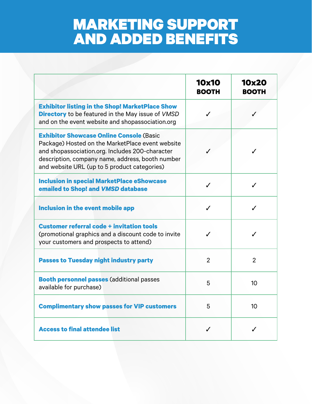### MARKETING SUPPORT AND ADDED BENEFITS

|                                                                                                                                                                                                                                                            | <b>10x10</b><br><b>BOOTH</b> | <b>10x20</b><br><b>BOOTH</b> |
|------------------------------------------------------------------------------------------------------------------------------------------------------------------------------------------------------------------------------------------------------------|------------------------------|------------------------------|
| <b>Exhibitor listing in the Shop! MarketPlace Show</b><br><b>Directory</b> to be featured in the May issue of VMSD<br>and on the event website and shopassociation.org                                                                                     |                              |                              |
| <b>Exhibitor Showcase Online Console (Basic</b><br>Package) Hosted on the MarketPlace event website<br>and shopassociation.org. Includes 200-character<br>description, company name, address, booth number<br>and website URL (up to 5 product categories) |                              | $\checkmark$                 |
| <b>Inclusion in special MarketPlace eShowcase</b><br>emailed to Shop! and VMSD database                                                                                                                                                                    | ✓                            | ✓                            |
| Inclusion in the event mobile app                                                                                                                                                                                                                          | $\checkmark$                 | ✓                            |
| <b>Customer referral code + invitation tools</b><br>(promotional graphics and a discount code to invite<br>your customers and prospects to attend)                                                                                                         | ✓                            | ✓                            |
| <b>Passes to Tuesday night industry party</b>                                                                                                                                                                                                              | $\overline{2}$               | $\overline{2}$               |
| <b>Booth personnel passes (additional passes</b><br>available for purchase)                                                                                                                                                                                | 5                            | 10                           |
| <b>Complimentary show passes for VIP customers</b>                                                                                                                                                                                                         | 5                            | 10 <sup>°</sup>              |
| <b>Access to final attendee list</b>                                                                                                                                                                                                                       | $\checkmark$                 | ✓                            |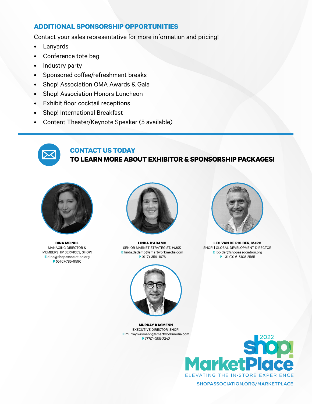### **ADDITIONAL SPONSORSHIP OPPORTUNITIES**

Contact your sales representative for more information and pricing!

- Lanyards
- Conference tote bag
- Industry party
- Sponsored coffee/refreshment breaks
- Shop! Association OMA Awards & Gala
- Shop! Association Honors Luncheon
- Exhibit floor cocktail receptions
- Shop! International Breakfast
- Content Theater/Keynote Speaker (5 available)



### **CONTACT US TODAY**

### **TO LEARN MORE ABOUT EXHIBITOR & SPONSORSHIP PACKAGES!**



**DINA MEINDL**  MANAGING DIRECTOR & MEMBERSHIP SERVICES, SHOP! **E** dina@shopassociation.org **P** (646)-785-9590



**LINDA D'ADAMO** SENIOR MARKET STRATEGIST, *VMSD* **E** linda.dadamo@smartworkmedia.com **P** (917)-359-1676



**LEO VAN DE POLDER, MaRC** SHOP! | GLOBAL DEVELOPMENT DIRECTOR **E** lpolder@shopassociation.org **P** +31 (0) 6-5108 2565



**MURRAY KASMENN** EXECUTIVE DIRECTOR, SHOP! **E** murray.kasmenn@smartworkmedia.com **P** (770)-356-2342



SHOPASSOCIATION.ORG/MARKETPLACE